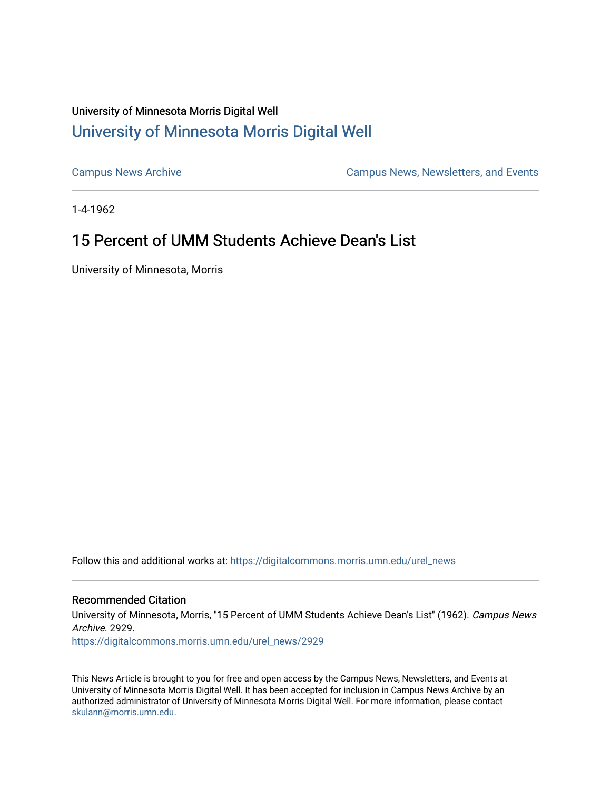## University of Minnesota Morris Digital Well [University of Minnesota Morris Digital Well](https://digitalcommons.morris.umn.edu/)

[Campus News Archive](https://digitalcommons.morris.umn.edu/urel_news) [Campus News, Newsletters, and Events](https://digitalcommons.morris.umn.edu/externalrel) 

1-4-1962

## 15 Percent of UMM Students Achieve Dean's List

University of Minnesota, Morris

Follow this and additional works at: [https://digitalcommons.morris.umn.edu/urel\\_news](https://digitalcommons.morris.umn.edu/urel_news?utm_source=digitalcommons.morris.umn.edu%2Furel_news%2F2929&utm_medium=PDF&utm_campaign=PDFCoverPages) 

## Recommended Citation

University of Minnesota, Morris, "15 Percent of UMM Students Achieve Dean's List" (1962). Campus News Archive. 2929.

[https://digitalcommons.morris.umn.edu/urel\\_news/2929](https://digitalcommons.morris.umn.edu/urel_news/2929?utm_source=digitalcommons.morris.umn.edu%2Furel_news%2F2929&utm_medium=PDF&utm_campaign=PDFCoverPages) 

This News Article is brought to you for free and open access by the Campus News, Newsletters, and Events at University of Minnesota Morris Digital Well. It has been accepted for inclusion in Campus News Archive by an authorized administrator of University of Minnesota Morris Digital Well. For more information, please contact [skulann@morris.umn.edu.](mailto:skulann@morris.umn.edu)